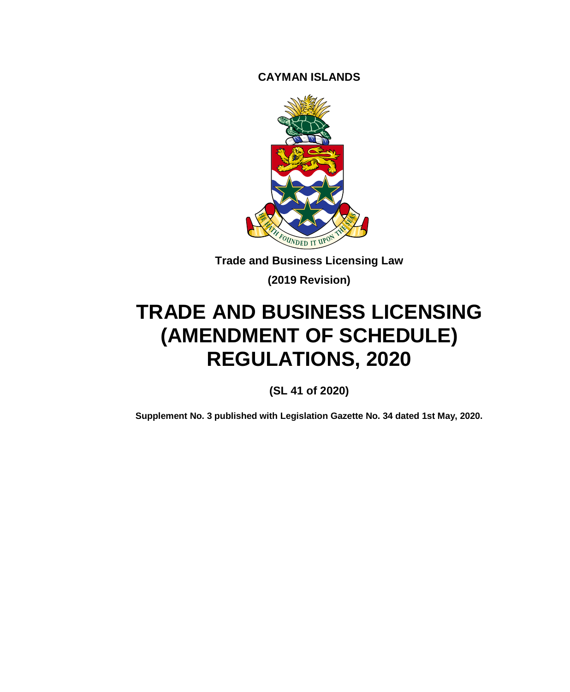**CAYMAN ISLANDS**



**Trade and Business Licensing Law**

**(2019 Revision)**

# **TRADE AND BUSINESS LICENSING (AMENDMENT OF SCHEDULE) REGULATIONS, 2020**

**(SL 41 of 2020)**

**Supplement No. 3 published with Legislation Gazette No. 34 dated 1st May, 2020.**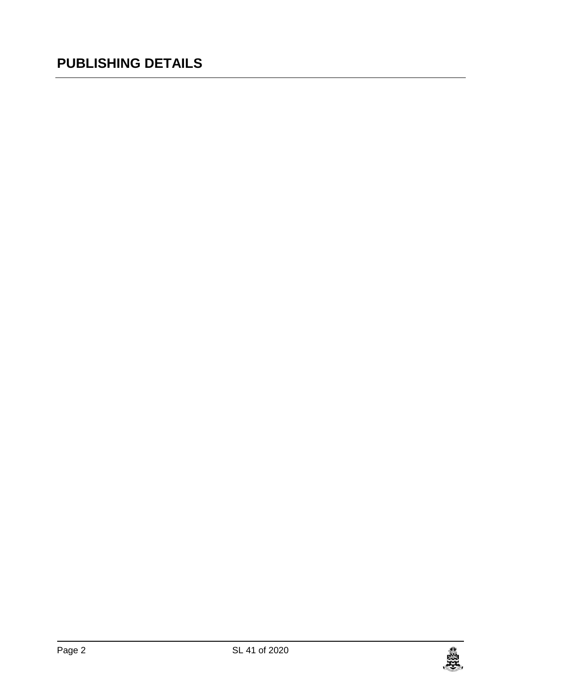### **PUBLISHING DETAILS**

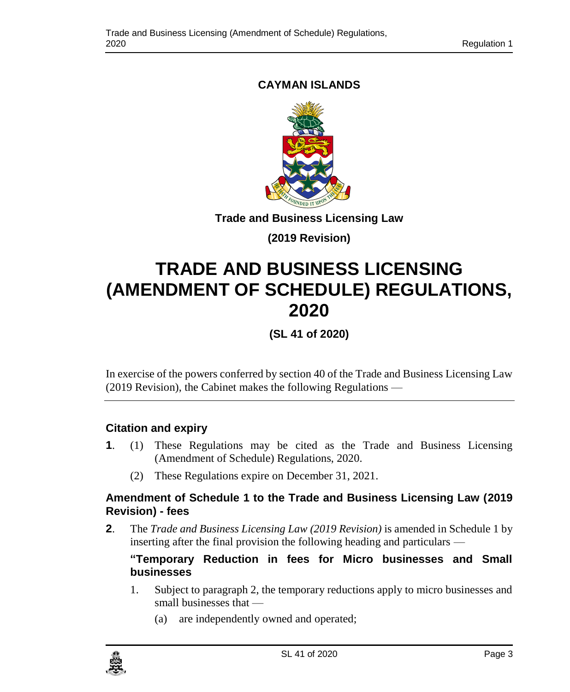### **CAYMAN ISLANDS**



**Trade and Business Licensing Law**

**(2019 Revision)**

## **TRADE AND BUSINESS LICENSING (AMENDMENT OF SCHEDULE) REGULATIONS, 2020**

**(SL 41 of 2020)**

In exercise of the powers conferred by section 40 of the Trade and Business Licensing Law (2019 Revision), the Cabinet makes the following Regulations —

### **1. Citation and expiry**

- **1**. (1) These Regulations may be cited as the Trade and Business Licensing (Amendment of Schedule) Regulations, 2020.
	- (2) These Regulations expire on December 31, 2021.

### **2. Amendment of Schedule 1 to the Trade and Business Licensing Law (2019 Revision) - fees**

**2**. The *Trade and Business Licensing Law (2019 Revision)* is amended in Schedule 1 by inserting after the final provision the following heading and particulars —

### **"Temporary Reduction in fees for Micro businesses and Small businesses**

- 1. Subject to paragraph 2, the temporary reductions apply to micro businesses and small businesses that —
	- (a) are independently owned and operated;

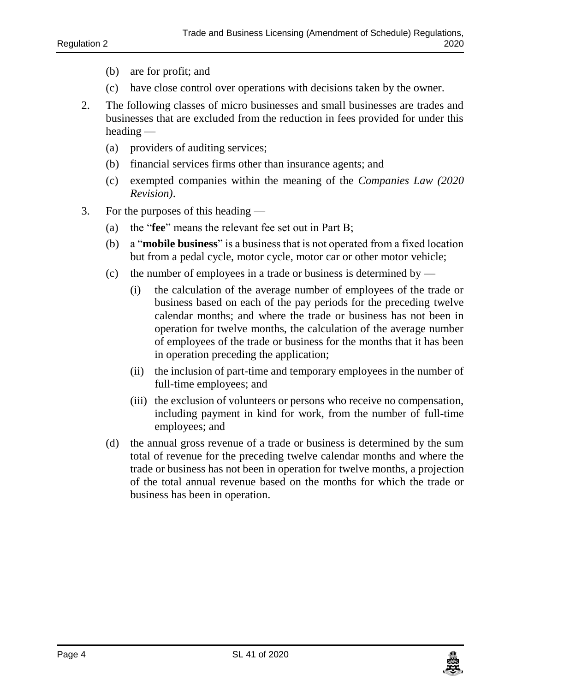- (b) are for profit; and
- (c) have close control over operations with decisions taken by the owner.
- 2. The following classes of micro businesses and small businesses are trades and businesses that are excluded from the reduction in fees provided for under this heading —
	- (a) providers of auditing services;
	- (b) financial services firms other than insurance agents; and
	- (c) exempted companies within the meaning of the *Companies Law (2020 Revision)*.
- 3. For the purposes of this heading
	- (a) the "**fee**" means the relevant fee set out in Part B;
	- (b) a "**mobile business**" is a business that is not operated from a fixed location but from a pedal cycle, motor cycle, motor car or other motor vehicle;
	- (c) the number of employees in a trade or business is determined by
		- (i) the calculation of the average number of employees of the trade or business based on each of the pay periods for the preceding twelve calendar months; and where the trade or business has not been in operation for twelve months, the calculation of the average number of employees of the trade or business for the months that it has been in operation preceding the application;
		- (ii) the inclusion of part-time and temporary employees in the number of full-time employees; and
		- (iii) the exclusion of volunteers or persons who receive no compensation, including payment in kind for work, from the number of full-time employees; and
	- (d) the annual gross revenue of a trade or business is determined by the sum total of revenue for the preceding twelve calendar months and where the trade or business has not been in operation for twelve months, a projection of the total annual revenue based on the months for which the trade or business has been in operation.

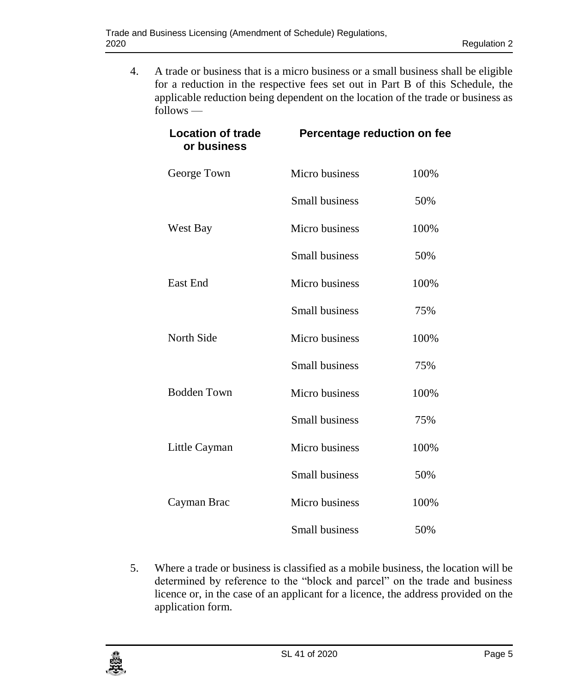4. A trade or business that is a micro business or a small business shall be eligible for a reduction in the respective fees set out in Part B of this Schedule, the applicable reduction being dependent on the location of the trade or business as follows —

| <b>Location of trade</b><br>or business | Percentage reduction on fee |      |
|-----------------------------------------|-----------------------------|------|
| George Town                             | Micro business              | 100% |
|                                         | Small business              | 50%  |
| West Bay                                | Micro business              | 100% |
|                                         | Small business              | 50%  |
| East End                                | Micro business              | 100% |
|                                         | Small business              | 75%  |
| North Side                              | Micro business              | 100% |
|                                         | Small business              | 75%  |
| <b>Bodden Town</b>                      | Micro business              | 100% |
|                                         | Small business              | 75%  |
| Little Cayman                           | Micro business              | 100% |
|                                         | Small business              | 50%  |
| Cayman Brac                             | Micro business              | 100% |
|                                         | Small business              | 50%  |

5. Where a trade or business is classified as a mobile business, the location will be determined by reference to the "block and parcel" on the trade and business licence or, in the case of an applicant for a licence, the address provided on the application form.